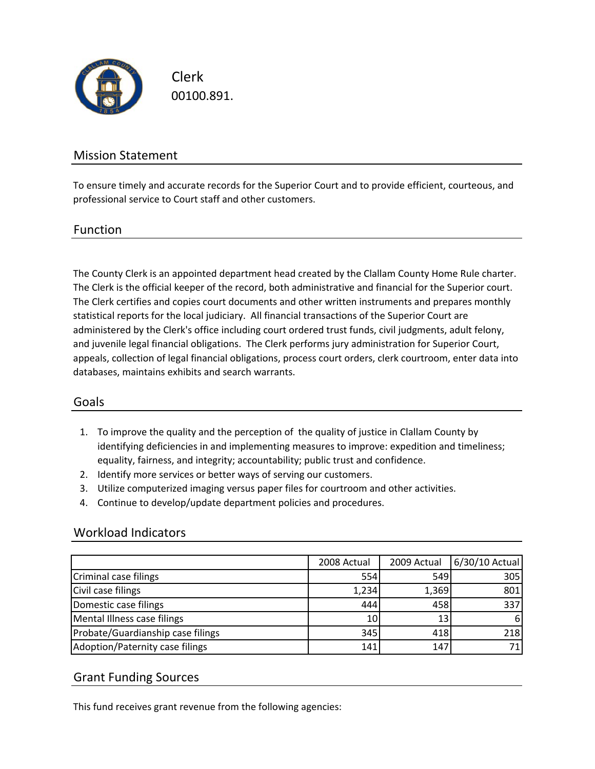

Clerk 00100.891.

# Mission Statement

To ensure timely and accurate records for the Superior Court and to provide efficient, courteous, and professional service to Court staff and other customers.

### Function

The County Clerk is an appointed department head created by the Clallam County Home Rule charter. The Clerk is the official keeper of the record, both administrative and financial for the Superior court. The Clerk certifies and copies court documents and other written instruments and prepares monthly statistical reports for the local judiciary. All financial transactions of the Superior Court are administered by the Clerk's office including court ordered trust funds, civil judgments, adult felony, and juvenile legal financial obligations. The Clerk performs jury administration for Superior Court, appeals, collection of legal financial obligations, process court orders, clerk courtroom, enter data into databases, maintains exhibits and search warrants.

## Goals

- 1. To improve the quality and the perception of the quality of justice in Clallam County by identifying deficiencies in and implementing measures to improve: expedition and timeliness; equality, fairness, and integrity; accountability; public trust and confidence.
- 2. Identify more services or better ways of serving our customers.
- 3. Utilize computerized imaging versus paper files for courtroom and other activities.
- 4. Continue to develop/update department policies and procedures.

### Workload Indicators

|                                   | 2008 Actual     | 2009 Actual | 6/30/10 Actual |
|-----------------------------------|-----------------|-------------|----------------|
| Criminal case filings             | 554             | 549         | 305            |
| Civil case filings                | 1,234           | 1,369       | 801            |
| Domestic case filings             | 444             | 458         | 337            |
| Mental Illness case filings       | 10 <sub>1</sub> | 13          | 6              |
| Probate/Guardianship case filings | 345             | 418         | 218            |
| Adoption/Paternity case filings   | 141             | 147         |                |

## Grant Funding Sources

This fund receives grant revenue from the following agencies: